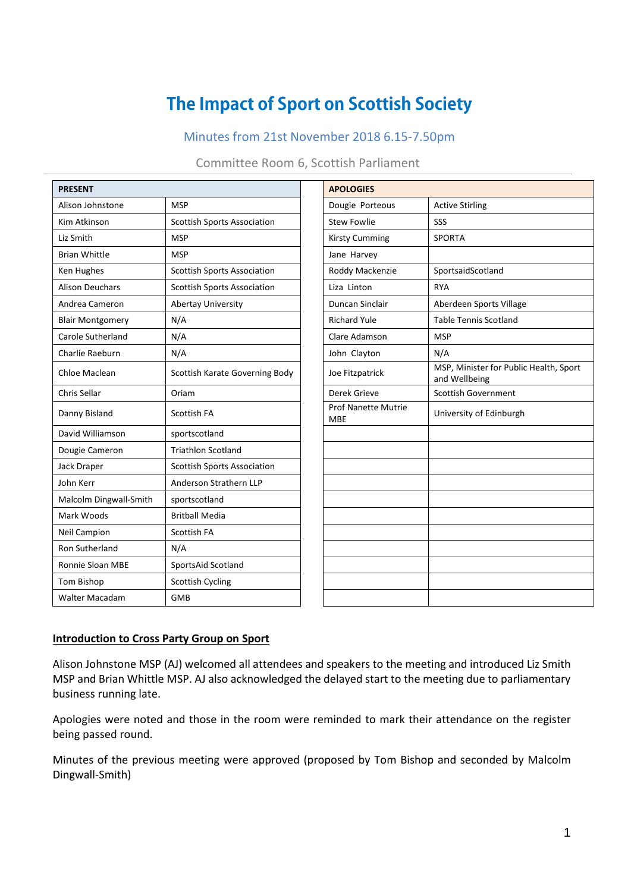# **The Impact of Sport on Scottish Society**

# Minutes from 21st November 2018 6.15-7.50pm

#### Committee Room 6, Scottish Parliament

| <b>PRESENT</b>          |                                    | <b>APOLOGIES</b>                  |                                           |  |
|-------------------------|------------------------------------|-----------------------------------|-------------------------------------------|--|
| Alison Johnstone        | <b>MSP</b>                         | Dougie Porteous                   | <b>Active Stirling</b>                    |  |
| Kim Atkinson            | <b>Scottish Sports Association</b> | <b>Stew Fowlie</b>                | SSS                                       |  |
| Liz Smith               | <b>MSP</b>                         | <b>Kirsty Cumming</b>             | <b>SPORTA</b>                             |  |
| <b>Brian Whittle</b>    | <b>MSP</b>                         | Jane Harvey                       |                                           |  |
| Ken Hughes              | <b>Scottish Sports Association</b> | Roddy Mackenzie                   | SportsaidScotland                         |  |
| <b>Alison Deuchars</b>  | <b>Scottish Sports Association</b> | Liza Linton                       | <b>RYA</b>                                |  |
| Andrea Cameron          | Abertay University                 | <b>Duncan Sinclair</b>            | Aberdeen Sports Village                   |  |
| <b>Blair Montgomery</b> | N/A                                | <b>Richard Yule</b>               | <b>Table Tennis Scotland</b>              |  |
| Carole Sutherland       | N/A                                | Clare Adamson                     | <b>MSP</b>                                |  |
| Charlie Raeburn         | N/A                                | John Clayton                      | N/A                                       |  |
| Chloe Maclean           | Scottish Karate Governing Body     | Joe Fitzpatrick                   | MSP, Minister for Public<br>and Wellbeing |  |
| Chris Sellar            | Oriam                              | Derek Grieve                      | <b>Scottish Government</b>                |  |
| Danny Bisland           | Scottish FA                        | Prof Nanette Mutrie<br><b>MBE</b> | University of Edinburgh                   |  |
| David Williamson        | sportscotland                      |                                   |                                           |  |
| Dougie Cameron          | <b>Triathlon Scotland</b>          |                                   |                                           |  |
| Jack Draper             | <b>Scottish Sports Association</b> |                                   |                                           |  |
| John Kerr               | Anderson Strathern LLP             |                                   |                                           |  |
| Malcolm Dingwall-Smith  | sportscotland                      |                                   |                                           |  |
| Mark Woods              | <b>Britball Media</b>              |                                   |                                           |  |
| <b>Neil Campion</b>     | <b>Scottish FA</b>                 |                                   |                                           |  |
| Ron Sutherland          | N/A                                |                                   |                                           |  |
| <b>Ronnie Sloan MBE</b> | SportsAid Scotland                 |                                   |                                           |  |
| Tom Bishop              | <b>Scottish Cycling</b>            |                                   |                                           |  |
| <b>Walter Macadam</b>   | <b>GMB</b>                         |                                   |                                           |  |
|                         |                                    |                                   |                                           |  |

| <b>PRESENT</b>          |                                    | <b>APOLOGIES</b>                  |                                                         |  |  |
|-------------------------|------------------------------------|-----------------------------------|---------------------------------------------------------|--|--|
| Alison Johnstone        | <b>MSP</b>                         | Dougie Porteous                   | <b>Active Stirling</b>                                  |  |  |
| Kim Atkinson            | <b>Scottish Sports Association</b> | <b>Stew Fowlie</b>                | SSS                                                     |  |  |
| Liz Smith               | <b>MSP</b>                         | <b>Kirsty Cumming</b>             | <b>SPORTA</b>                                           |  |  |
| <b>Brian Whittle</b>    | <b>MSP</b>                         | Jane Harvey                       |                                                         |  |  |
| Ken Hughes              | <b>Scottish Sports Association</b> | Roddy Mackenzie                   | SportsaidScotland                                       |  |  |
| <b>Alison Deuchars</b>  | <b>Scottish Sports Association</b> | Liza Linton                       | <b>RYA</b>                                              |  |  |
| Andrea Cameron          | Abertay University                 | Duncan Sinclair                   | Aberdeen Sports Village                                 |  |  |
| <b>Blair Montgomery</b> | N/A                                | <b>Richard Yule</b>               | <b>Table Tennis Scotland</b>                            |  |  |
| Carole Sutherland       | N/A                                | Clare Adamson                     | <b>MSP</b>                                              |  |  |
| Charlie Raeburn         | N/A                                | John Clayton                      | N/A                                                     |  |  |
| Chloe Maclean           | Scottish Karate Governing Body     | Joe Fitzpatrick                   | MSP, Minister for Public Health, Sport<br>and Wellbeing |  |  |
| Chris Sellar            | Oriam                              | Derek Grieve                      | <b>Scottish Government</b>                              |  |  |
| Danny Bisland           | <b>Scottish FA</b>                 | Prof Nanette Mutrie<br><b>MBE</b> | University of Edinburgh                                 |  |  |
| David Williamson        | sportscotland                      |                                   |                                                         |  |  |
| Dougie Cameron          | <b>Triathlon Scotland</b>          |                                   |                                                         |  |  |
| Jack Draper             | <b>Scottish Sports Association</b> |                                   |                                                         |  |  |
| John Kerr               | Anderson Strathern LLP             |                                   |                                                         |  |  |
| Malcolm Dingwall-Smith  | sportscotland                      |                                   |                                                         |  |  |
| Mark Woods              | <b>Britball Media</b>              |                                   |                                                         |  |  |
| Neil Campion            | Scottish FA                        |                                   |                                                         |  |  |
| Ron Sutherland          | N/A                                |                                   |                                                         |  |  |
| Ronnie Sloan MBE        | SportsAid Scotland                 |                                   |                                                         |  |  |
| Tom Bishop              | <b>Scottish Cycling</b>            |                                   |                                                         |  |  |
| Walter Macadam          | <b>GMB</b>                         |                                   |                                                         |  |  |

#### **Introduction to Cross Party Group on Sport**

Alison Johnstone MSP (AJ) welcomed all attendees and speakers to the meeting and introduced Liz Smith MSP and Brian Whittle MSP. AJ also acknowledged the delayed start to the meeting due to parliamentary business running late.

Apologies were noted and those in the room were reminded to mark their attendance on the register being passed round.

Minutes of the previous meeting were approved (proposed by Tom Bishop and seconded by Malcolm Dingwall-Smith)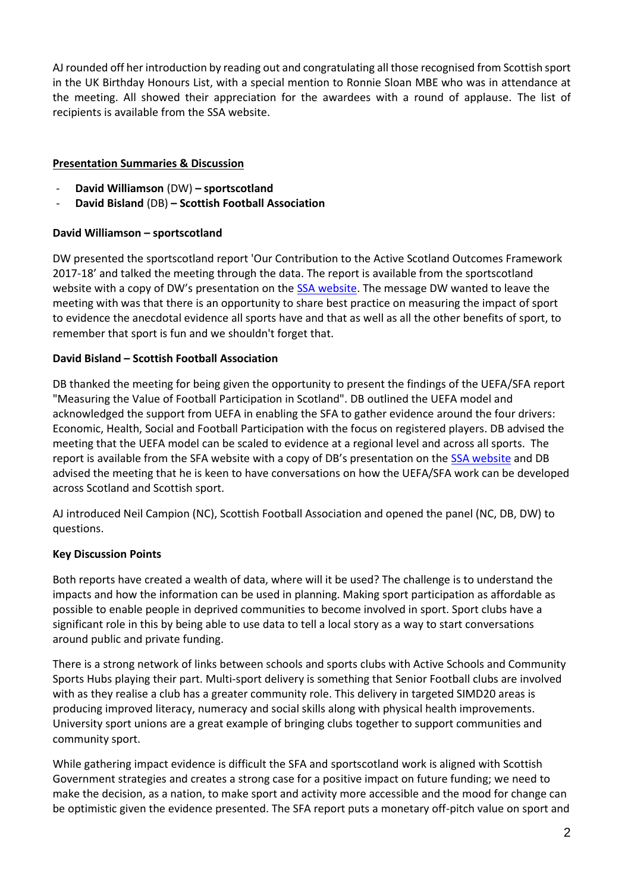AJ rounded off her introduction by reading out and congratulating all those recognised from Scottish sport in the UK Birthday Honours List, with a special mention to Ronnie Sloan MBE who was in attendance at the meeting. All showed their appreciation for the awardees with a round of applause. The list of recipients is available from the SSA website.

### **Presentation Summaries & Discussion**

- **David Williamson** (DW) **– sportscotland**
- **David Bisland** (DB) **– Scottish Football Association**

### **David Williamson – sportscotland**

DW presented the sportscotland report 'Our Contribution to the Active Scotland Outcomes Framework 2017-18' and talked the meeting through the data. The report is available from the sportscotland website with a copy of DW's presentation on the [SSA website.](http://thessa.org.uk/details/category/11/Cross-Party-Group-on-Sport) The message DW wanted to leave the meeting with was that there is an opportunity to share best practice on measuring the impact of sport to evidence the anecdotal evidence all sports have and that as well as all the other benefits of sport, to remember that sport is fun and we shouldn't forget that.

### **David Bisland – Scottish Football Association**

DB thanked the meeting for being given the opportunity to present the findings of the UEFA/SFA report "Measuring the Value of Football Participation in Scotland". DB outlined the UEFA model and acknowledged the support from UEFA in enabling the SFA to gather evidence around the four drivers: Economic, Health, Social and Football Participation with the focus on registered players. DB advised the meeting that the UEFA model can be scaled to evidence at a regional level and across all sports. The report is available from the SFA website with a copy of DB's presentation on the [SSA website](http://thessa.org.uk/details/category/11/Cross-Party-Group-on-Sport) and DB advised the meeting that he is keen to have conversations on how the UEFA/SFA work can be developed across Scotland and Scottish sport.

AJ introduced Neil Campion (NC), Scottish Football Association and opened the panel (NC, DB, DW) to questions.

#### **Key Discussion Points**

Both reports have created a wealth of data, where will it be used? The challenge is to understand the impacts and how the information can be used in planning. Making sport participation as affordable as possible to enable people in deprived communities to become involved in sport. Sport clubs have a significant role in this by being able to use data to tell a local story as a way to start conversations around public and private funding.

There is a strong network of links between schools and sports clubs with Active Schools and Community Sports Hubs playing their part. Multi-sport delivery is something that Senior Football clubs are involved with as they realise a club has a greater community role. This delivery in targeted SIMD20 areas is producing improved literacy, numeracy and social skills along with physical health improvements. University sport unions are a great example of bringing clubs together to support communities and community sport.

While gathering impact evidence is difficult the SFA and sportscotland work is aligned with Scottish Government strategies and creates a strong case for a positive impact on future funding; we need to make the decision, as a nation, to make sport and activity more accessible and the mood for change can be optimistic given the evidence presented. The SFA report puts a monetary off-pitch value on sport and